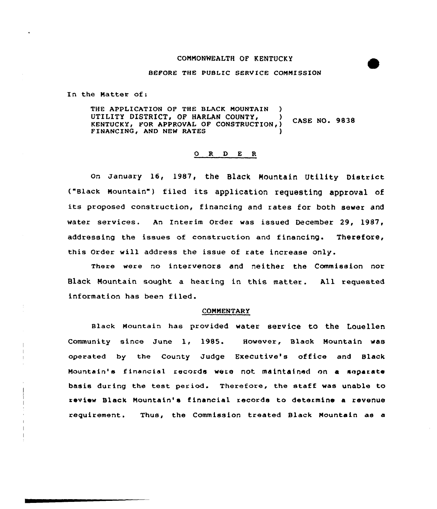### COMMONWEALTH OF KENTUCKY

#### BEFORE THE PUBLIC SERVICE COMMISSION

In the Natter of:

THE APPLICATION OF THE BLACK MOUNTAIN UTILITY DISTRICT, OF HARLAN COUNTY, **CASE NO. 9838** KENTUCKY, FOR APPROVAL OF CONSTRUCTION, FINANCING, AND NEW RATES

# 0 R <sup>D</sup> E R

On January 16, 1987, the BlaCk NOuntain Utility District ("slack Mountain") filed its application requesting approval of its proposed construction, financing and rates for both sewer and water services. An Interim Order was issued December 29, 1987, addressing the issues of construction and financing. Therefore, this Order will address the issue of rate increase only.

There were no intervenors and neither the Commission nor Black Mountain sought a hearing in this matter. All requested information has been filed.

#### **COMMENTARY**

Black Mountain has provided water service to the Louellen Community since June 1, 1985. However, Black Mountain was operated by the County Judge Executive's office and Black Mountain' financial records were not maintained on a separate basis during the test period. Therefore, the staff was unable to review Black Nountain's financial records to determine a revenue requirement. Thus, the Commission treated Black Nountain as a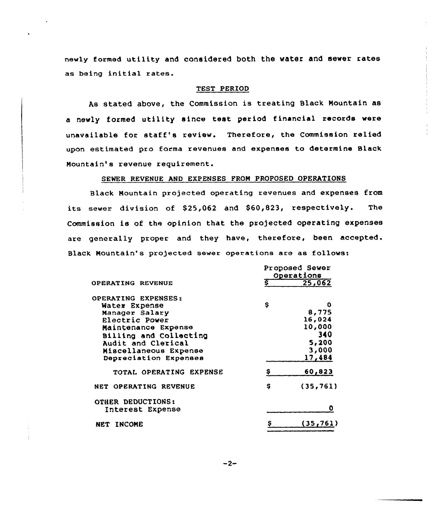newly formed utility and considered both the water and sewer rates as being initial rates.

# TEST PERIOD

As stated above, the Commission is treating Black Mountain as a newly formed utility since test period financial records were unavailable for staff's review. Therefoxe, the Commission relied upon estimated pro forma revenues and expenses to determine Black Mountain's revenue requirement.

# SEWER REVENUE AND EXPENSES FROM PROPOSED OPERATIONS

Black Mountain projected operating revenues and expenses from its sewer division of \$25,062 and \$60,823, respectively. The Commission is of the opinion that the projected operating expenses are generally proper and they have, therefore, been accepted. Black Mountain's projected sewer operations are as follows:

|                         | Proposed Sewer<br>Operations |           |
|-------------------------|------------------------------|-----------|
| OPERATING REVENUE       | ङ                            | 25,062    |
| OPERATING EXPENSES:     |                              |           |
| Water Expense           | s                            | O         |
| Manager Salary          |                              | 8,775     |
| Electric Power          |                              | 16,024    |
| Maintenance Expense     |                              | 10,000    |
| Billing and Collecting  |                              | 340       |
| Audit and Clerical      |                              | 5,200     |
| Miscellaneous Expense   |                              | 3,000     |
| Depreciation Expenses   |                              | 17,484    |
| TOTAL OPERATING EXPENSE | s                            | 60,823    |
| NET OPERATING REVENUE   | Ş                            | (35, 761) |
| OTHER DEDUCTIONS:       |                              |           |
| Interest Expense        |                              |           |
| <b>INCOME</b><br>NET    |                              | 35,761)   |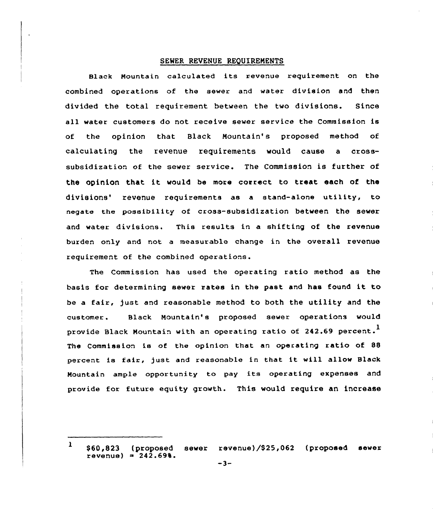### SEWER REVENUE REQUIREMENTS

Black Mountain calculated its revenue requirement on the combined operations of the sewer and water division and then divided the total requirement between the two divisions. Since all water customers do not receive sewer service the Commission is of the opinion that Black Mountain's proposed method of calculating the revenue requirements would cause a crosssubsidization of the sewer service. The Commission is further of the opinion that it would be more correct to treat each of the divisions' revenue requirements as a stand-alone utility, to negate the possibility of cross-subsidization between the sever and water divisions. This results in a shifting of the revenue burden only and not a measurable change in the overall revenue requirement of the combined operations.

The Commission has used the operating ratio method as the basis for determining sever rates in the past and has found it to be a fair, just and reasonable method to both the utility and the customer. Black Mountain's proposed sewer operations would provide Black Mountain with an operating ratio of 242.69 percent.<sup>1</sup> The Commission is of the opinion that an operating ratio of 88 percent is fair, just and reasonable in that it will allow Black Mountain ample opportunity to pay its operating expenses and provide for future equity growth. This would require an increase

l \$60,823 (proposed sewer revenue)/\$ 25,062 (proposed sewer revenue) =  $242.69%$ .<br>-3-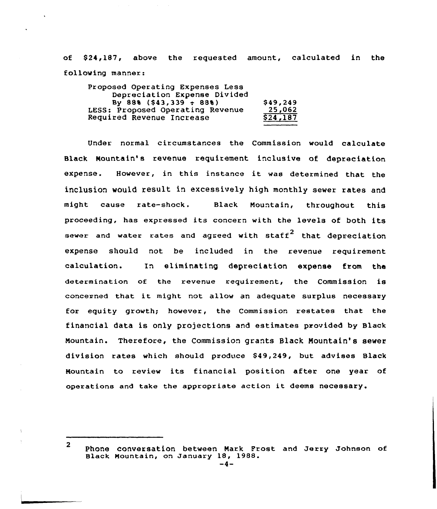of \$24,187, above the requested amount, calculated in the following manner:

| Proposed Operating Expenses Less |          |
|----------------------------------|----------|
| Depreciation Expense Divided     |          |
| By 88% (\$43,339 $\div$ 88%)     | \$49,249 |
| LESS: Proposed Operating Revenue | 25,062   |
| Required Revenue Increase        | \$24,187 |
|                                  |          |

Under normal cixcumstances the Commission would calculate Black Mountain's revenue requirement inclusive of depreciation expense. However, in this instance it was determined that the inclusion would result in excessively high monthly sewer rates and might cause rate-shack. Black Mountain, throughout this proceeding, has expressed its concexn with the levels of both its sewer and water rates and agreed with staff<sup>2</sup> that depreciation expense should not be included in the revenue requirement calculation. In eliminating depreciation expense from the determination of the revenue requirement, the Commission is concerned that it might not allow an adequate surplus necessary for equity growth; however, the Commission restates that the financial data is only projections and estimates provided by Black Mountain. Therefore, the Commission grants Black Mountain's sewer division rates which should produce \$49,249, but advises Black Mountain to review its financial position after one year of operations and take the appropriate action it deems necessary.

<sup>2</sup>

Phone conversation between Nark Prost and Jerry Johnson of Black Mountain, on January 18, 1988.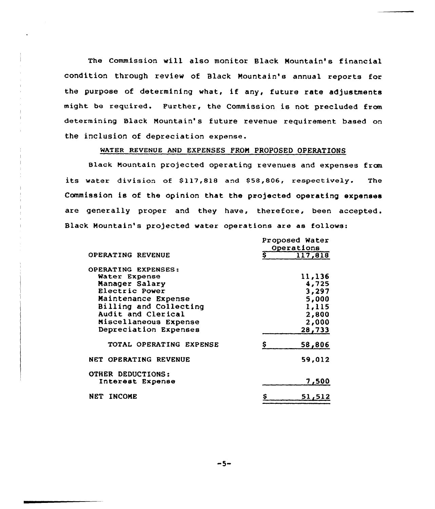The Commission will also monitor Black Mountain's financial condition through review of Black Mountain's annual reports for the purpose of determining what, if any, future rate adjustments might be required. Further, the Commission is not precluded fram determining Black Mountain's future revenue requirement based on the inclusion of depreciation expense.

# WATER REVENUE AND EXPENSES FROM PROPOSED OPERATIONS

Black Mountain projected operating revenues and expenses fran its water division of \$117,818 and \$58,806, respectively. The Commission is of the opinion that the projected operating expenses are generally proper and they have, therefore, been accepted . Black Mountain's projected water operations are as follows:

|                          |    | Proposed Water<br>Operations |
|--------------------------|----|------------------------------|
| OPERATING REVENUE        | S  | 117,818                      |
| OPERATING EXPENSES:      |    |                              |
| Water Expense            |    | 11,136                       |
| Manager Salary           |    | 4,725                        |
| Electric Power           |    | 3,297                        |
| Maintenance Expense      |    | 5,000                        |
| Billing and Collecting   |    | 1,115                        |
| Audit and Clerical       |    | 2,800                        |
| Miscellaneous Expense    |    | 2,000                        |
| Depreciation Expenses    |    | 28,733                       |
| TOTAL OPERATING EXPENSE  |    | 58,806                       |
| NET OPERATING REVENUE    |    | 59,012                       |
| <b>OTHER DEDUCTIONS:</b> |    |                              |
| Interest Expense         |    | 7,500                        |
| <b>INCOME</b><br>NET     | \$ | 51,512                       |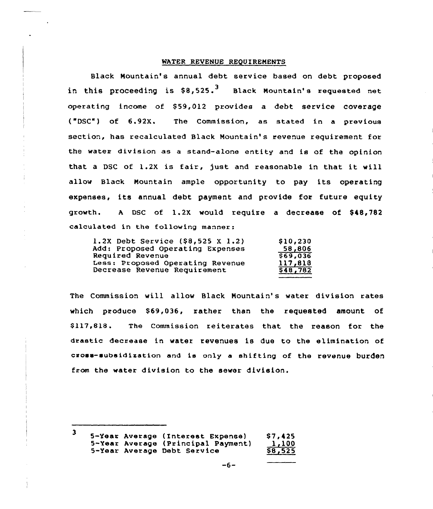#### WATER REVENUE REQUIREMENTS

Black Nountain's annual debt service based on debt proposed in this proceeding is  $$8,525.^3$  Black Mountain's requested net operating income of \$59,012 provides a debt service coverage ("DSC") of 6.92X. The Commission, as stated in a previous section, has recalculated Black Mountain's revenue requirement for the waten division as a stand-alone entity and is of the opinion that a DSC of 1.2X is fair, just and reasonable in that it will allow Black Mountain ample opportunity to pay its operating expenses, its annual debt payment and provide for future equity growth. A DSC of 1.2X would require a decrease of \$48,782 calculated in the following manner:

| 1.2X Debt Service (\$8,525 X 1.2) | \$10,230        |
|-----------------------------------|-----------------|
| Add: Proposed Operating Expenses  | 58,806          |
| Required Revenue                  | \$69,036        |
| Less: Proposed Operating Revenue  | 117,818         |
| Decrease Revenue Requirement      | <b>\$48,782</b> |

The Commission will allow Black Nountain's water division rates which produce \$69,036, rather than the requested amount of \$ 117,818. The Commission reiterates that the reason for the drastic decrease in water revenues ie due to the elimination of cross-subsidization and is only a shifting of the revenue burden from the water division to the sewer division.

<sup>3 5-</sup>Year Average (Interest Expense) \$7,425<br>5-Year Average (Principal Payment) 1,100 5-Year Average (Principal Payment) 1,100<br>5-Year Average Debt Service 58,525 5-Year Average Debt Service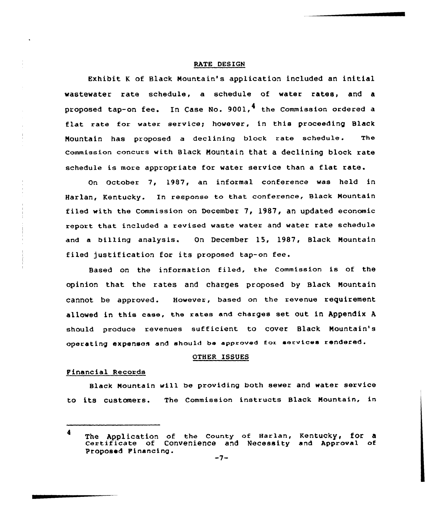### RATE DESIGN

Exhibit <sup>K</sup> of Black Nountain's application included an initial wastewater rate schedule, a schedule of water rates, and a proposed tap-on fee. In Case No. 9001, $^{\textbf{4}}$  the Commission ordered a flat rate for water service; however, in this proceeding Black Nountain has proposed a declining block rate schedule. The Commission cnncurs with Black Mountain that a declining block rate schedule is more appropriate for water service than a flat rate.

On October 7, 1987, an informal conference was held in Harlan, Kentucky. In response to that conference, Black Mountain filed with the Commission on December  $7, 1987,$  an updated economic report that included a revised waste water and water rate schedule and a billing analysis. On December 15, 1987, Black Nountain filed justification for its proposed tap-on fee.

Based on the information filed, the commission is of the opinion that the rates and charges proposed by Black Nountain cannot be approved. However, based on the revenue requirement allowed in this case, the rates and charges set out in Appendix <sup>A</sup> should produce revenues sufficient to cover Black Nountain's operating expenses and should be approved for services rendered.

# OTHER ISSUES

#### Financial Records

Black Mountain will be providing both sewer and water service to its customers. The Commission instructs Black Mountain, in

<sup>4</sup> The Application of the County of Harlan, Kentucky, for a<br>Certificate of Convenience and Necessity and Approval of Proposed Financing.  $-7-$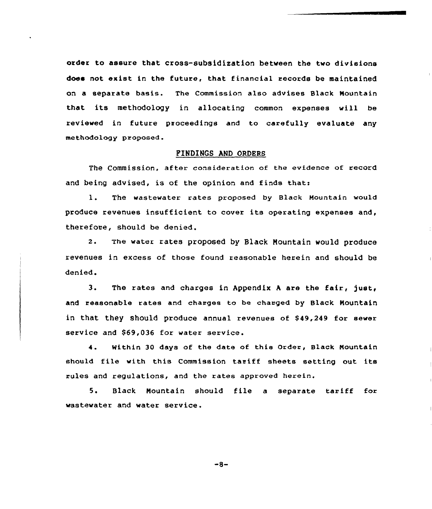order to assure that cross-subsidization between the two divisions does not exist in the future, that financial records be maintained on a separate basis. The Commission also advises Black Mountain that its methodology in allocating common expenses will be reviewed in future pmoceedings and to carefully evaluate any methodology proposed.

# FINDINGS AND ORDERS

The Commission, after consideration of the evidence of record and being advised, is of the opinion and finds that:

1. The wastewater rates proposed by Black Mountain would produce revenues insufficient to cover its operating expenses and, therefore, should be denied.

2. The water rates proposed by Black Nountain would produce revenues in excess of those found reasonable herein and should be denied.

3. The rates and charges in Appendix A are the fair, just, and reasonable rates and charges to be chamged by Black Mountain in that they should produce annual revenues of \$49,249 for sewer service and \$69,036 for water service.

4. Within 30 days of the date of this Order, Black Mountain should file with this Commission tamiff sheets setting out its rules and regulations, and the rates approved herein.

5. Black Mountain should file <sup>a</sup> separate tariff for wastewater and water service.

 $-8-$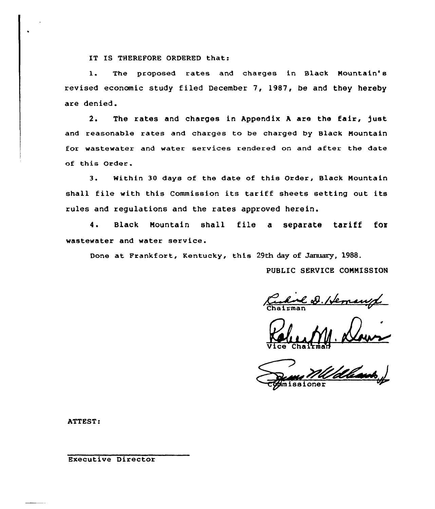IT IS THEREFORE ORDERED that:

1. The proposed rates and charges in Black Mountain's revised economic study filed December 7, 1987, be and they hereby are denied.

2. The rates and charges in Appendix <sup>A</sup> are the fair, )ust and reasonable rates and charges to be charged by Black Mountain for wastewater and water services rendered on and after the date of this Order.

3. Within 30 days of the date of this Order, Black Mountain shall file with this Commission its tariff sheets setting out its rules and regulations and the rates approved herein.

4. Black Mountain shall file <sup>a</sup> separate tariff fox wastewater and water service.

Done at Frankfort, Kentucky, this 29th day of January, 1988.

PUBLIC SERVICE COMMISSION

<u>had D. Hemanyl</u>

Vice Chairma

. Klaur sione

ATTEST:

Executive Director